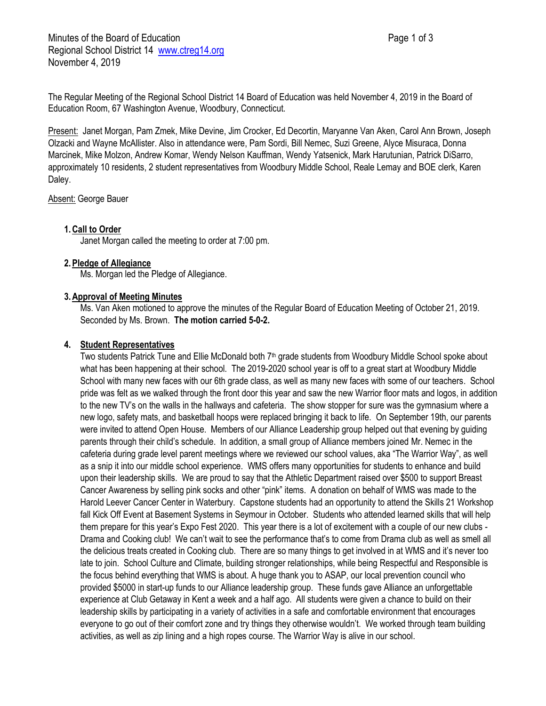The Regular Meeting of the Regional School District 14 Board of Education was held November 4, 2019 in the Board of Education Room, 67 Washington Avenue, Woodbury, Connecticut.

Present: Janet Morgan, Pam Zmek, Mike Devine, Jim Crocker, Ed Decortin, Maryanne Van Aken, Carol Ann Brown, Joseph Olzacki and Wayne McAllister. Also in attendance were, Pam Sordi, Bill Nemec, Suzi Greene, Alyce Misuraca, Donna Marcinek, Mike Molzon, Andrew Komar, Wendy Nelson Kauffman, Wendy Yatsenick, Mark Harutunian, Patrick DiSarro, approximately 10 residents, 2 student representatives from Woodbury Middle School, Reale Lemay and BOE clerk, Karen Daley.

Absent: George Bauer

# **1.Call to Order**

Janet Morgan called the meeting to order at 7:00 pm.

# **2.Pledge of Allegiance**

Ms. Morgan led the Pledge of Allegiance.

# **3.Approval of Meeting Minutes**

Ms. Van Aken motioned to approve the minutes of the Regular Board of Education Meeting of October 21, 2019. Seconded by Ms. Brown. **The motion carried 5-0-2.**

# **4. Student Representatives**

Two students Patrick Tune and Ellie McDonald both  $7<sup>th</sup>$  grade students from Woodbury Middle School spoke about what has been happening at their school. The 2019-2020 school year is off to a great start at Woodbury Middle School with many new faces with our 6th grade class, as well as many new faces with some of our teachers. School pride was felt as we walked through the front door this year and saw the new Warrior floor mats and logos, in addition to the new TV's on the walls in the hallways and cafeteria. The show stopper for sure was the gymnasium where a new logo, safety mats, and basketball hoops were replaced bringing it back to life. On September 19th, our parents were invited to attend Open House. Members of our Alliance Leadership group helped out that evening by guiding parents through their child's schedule. In addition, a small group of Alliance members joined Mr. Nemec in the cafeteria during grade level parent meetings where we reviewed our school values, aka "The Warrior Way", as well as a snip it into our middle school experience. WMS offers many opportunities for students to enhance and build upon their leadership skills. We are proud to say that the Athletic Department raised over \$500 to support Breast Cancer Awareness by selling pink socks and other "pink" items. A donation on behalf of WMS was made to the Harold Leever Cancer Center in Waterbury. Capstone students had an opportunity to attend the Skills 21 Workshop fall Kick Off Event at Basement Systems in Seymour in October. Students who attended learned skills that will help them prepare for this year's Expo Fest 2020. This year there is a lot of excitement with a couple of our new clubs - Drama and Cooking club! We can't wait to see the performance that's to come from Drama club as well as smell all the delicious treats created in Cooking club. There are so many things to get involved in at WMS and it's never too late to join. School Culture and Climate, building stronger relationships, while being Respectful and Responsible is the focus behind everything that WMS is about. A huge thank you to ASAP, our local prevention council who provided \$5000 in start-up funds to our Alliance leadership group. These funds gave Alliance an unforgettable experience at Club Getaway in Kent a week and a half ago. All students were given a chance to build on their leadership skills by participating in a variety of activities in a safe and comfortable environment that encourages everyone to go out of their comfort zone and try things they otherwise wouldn't. We worked through team building activities, as well as zip lining and a high ropes course. The Warrior Way is alive in our school.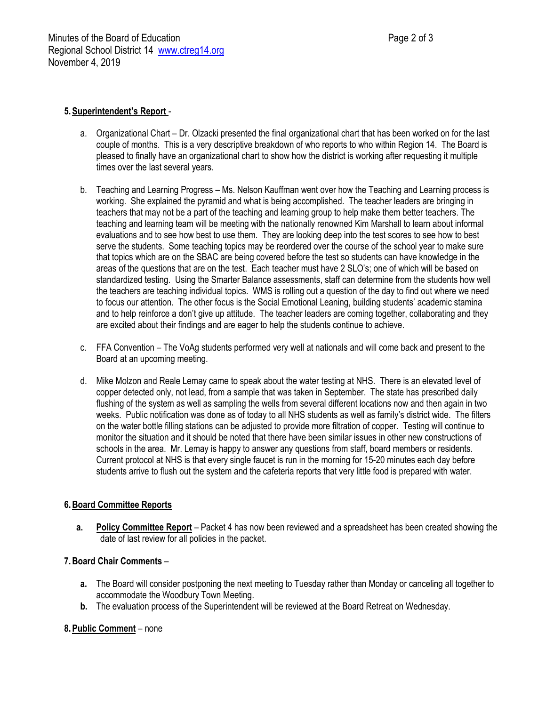# **5.Superintendent's Report** -

- a. Organizational Chart Dr. Olzacki presented the final organizational chart that has been worked on for the last couple of months. This is a very descriptive breakdown of who reports to who within Region 14. The Board is pleased to finally have an organizational chart to show how the district is working after requesting it multiple times over the last several years.
- b. Teaching and Learning Progress Ms. Nelson Kauffman went over how the Teaching and Learning process is working. She explained the pyramid and what is being accomplished. The teacher leaders are bringing in teachers that may not be a part of the teaching and learning group to help make them better teachers. The teaching and learning team will be meeting with the nationally renowned Kim Marshall to learn about informal evaluations and to see how best to use them. They are looking deep into the test scores to see how to best serve the students. Some teaching topics may be reordered over the course of the school year to make sure that topics which are on the SBAC are being covered before the test so students can have knowledge in the areas of the questions that are on the test. Each teacher must have 2 SLO's; one of which will be based on standardized testing. Using the Smarter Balance assessments, staff can determine from the students how well the teachers are teaching individual topics. WMS is rolling out a question of the day to find out where we need to focus our attention. The other focus is the Social Emotional Leaning, building students' academic stamina and to help reinforce a don't give up attitude. The teacher leaders are coming together, collaborating and they are excited about their findings and are eager to help the students continue to achieve.
- c. FFA Convention The VoAg students performed very well at nationals and will come back and present to the Board at an upcoming meeting.
- d. Mike Molzon and Reale Lemay came to speak about the water testing at NHS. There is an elevated level of copper detected only, not lead, from a sample that was taken in September. The state has prescribed daily flushing of the system as well as sampling the wells from several different locations now and then again in two weeks. Public notification was done as of today to all NHS students as well as family's district wide. The filters on the water bottle filling stations can be adjusted to provide more filtration of copper. Testing will continue to monitor the situation and it should be noted that there have been similar issues in other new constructions of schools in the area. Mr. Lemay is happy to answer any questions from staff, board members or residents. Current protocol at NHS is that every single faucet is run in the morning for 15-20 minutes each day before students arrive to flush out the system and the cafeteria reports that very little food is prepared with water.

# **6.Board Committee Reports**

**a. Policy Committee Report** – Packet 4 has now been reviewed and a spreadsheet has been created showing the date of last review for all policies in the packet.

# **7.Board Chair Comments** –

- **a.** The Board will consider postponing the next meeting to Tuesday rather than Monday or canceling all together to accommodate the Woodbury Town Meeting.
- **b.** The evaluation process of the Superintendent will be reviewed at the Board Retreat on Wednesday.

# **8.Public Comment** – none